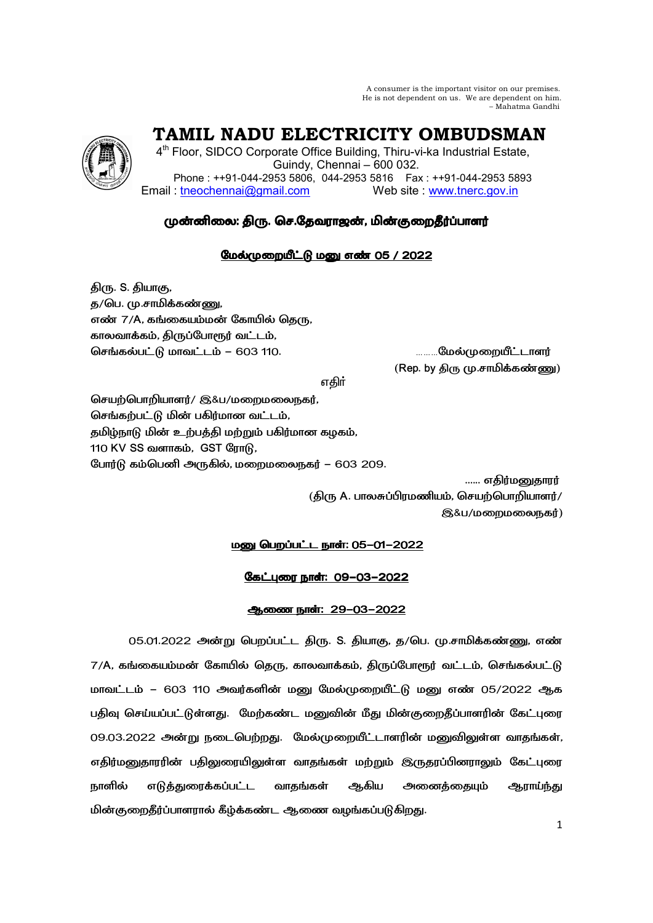A consumer is the important visitor on our premises. He is not dependent on us. We are dependent on him. – Mahatma Gandhi

 **TAMIL NADU ELECTRICITY OMBUDSMAN** 

4<sup>th</sup> Floor, SIDCO Corporate Office Building, Thiru-vi-ka Industrial Estate, Guindy, Chennai – 600 032. Phone : ++91-044-2953 5806, 044-2953 5816 Fax : ++91-044-2953 5893 Email : tneochennai@gmail.com Web site : www.tnerc.gov.in

# முன்னிலை: திரு. செ.தேவராஜன், மின்குறைதீர்ப்பாளர்

# மேல்முறையீட்டு மனு எண் 05 / 2022

திரு. S. தியாகு, த/பெ. மு.சாமிக்கண்ணு, எண் 7/A, கங்கையம்மன் கோயில் தெரு, காலவாக்கம், திருப்போரூர் வட்டம், செங்கல்பட்டு மாவட்டம் – 603 110. ……..மேல்முறையீட்டாளர்

 $($ Rep. by திரு $($ மு.சாமிக்கண்ணு $)$ 

v®

செயற்பொறியாளர்/ இ&ப/மறைமலைநகர், செங்கற்பட்டு மின் பகிர்மான வட்டம், தமிழ்நாடு மின் உற்பத்தி மற்றும் பகிர்மான கழகம், 110 KV SS வளாகம், GST ரோடு, போர்டு கம்பெனி அருகில், மறைமலைநகர் – 603 209.

> ...... எகிர்மனுகாரர்  $(\delta)$ ரு A. பாலசுப்பிரமணியம், செயற்பொறியாளர்/ இ&ப/மறைமலைநகர்)

# <u> மனு பெறப்பட்ட நாள்: 05-01-2022</u>

# <u>கேட்புரை நாள்: 09-03-2022</u>

## <u>ஆணை நாள்: 29-03-2022</u>

05.01.2022 அன்று பெறப்பட்ட திரு. S. தியாகு, த/பெ. மு.சாமிக்கண்ணு, எண்  $7/\mathsf{A}$ , கங்கையம்மன் கோயில் தெரு, காலவாக்கம், திருப்போரூர் வட்டம், செங்கல்பட்டு மாவட்டம் – 603 110 அவர்களின் மனு மேல்முறையீட்டு மனு எண் 05/2022 ஆக பதிவு செய்யப்பட்டுள்ளது. மேற்கண்ட மனுவின் மீது மின்குறைதீப்பாளரின் கேட்புரை 09.03.2022 அன்று நடைபெற்றது. மேல்முறையீட்டாளரின் மனுவிலுள்ள வாதங்கள், எதிர்மனுதாரரின் பதிலுரையிலுள்ள வாதங்கள் மற்றும் இருதரப்பினராலும் கேட்புரை நாளில் எடுத்துரைக்கப்பட்ட வாதங்கள் ஆகிய அனைத்தையும் ஆராய்ந்து மின்குறைதீர்ப்பாளரால் கீழ்க்கண்ட ஆணை வழங்கப்படுகிறது.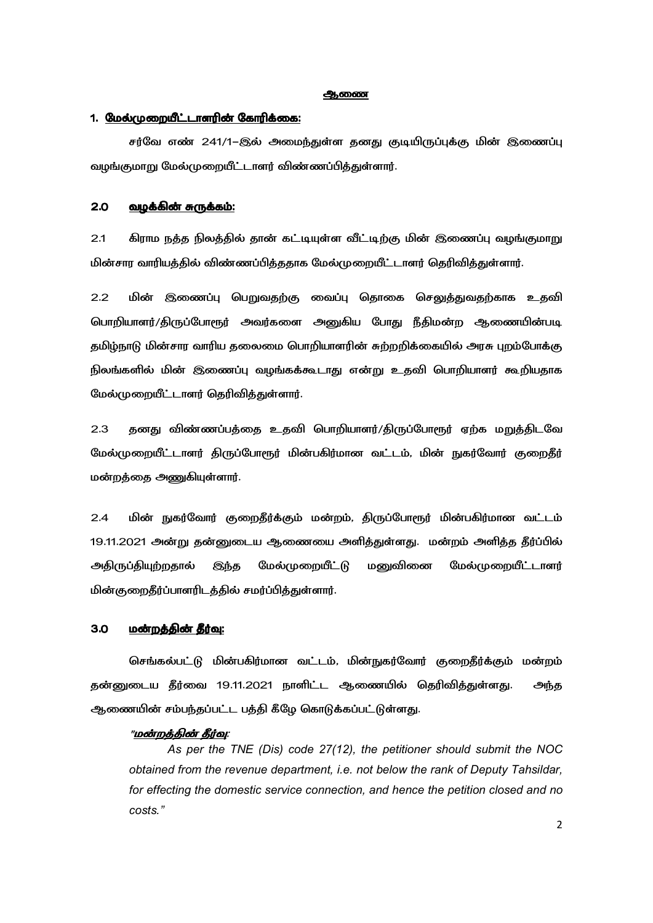#### **ஆ**ணை

## 1. <u>மேல்முறையீட்டாளரின் கோரிக்கை:</u>

சர்வே எண் 241/1–இல் அமைந்துள்ள தனது குடியிருப்புக்கு மின் இணைப்பு வழங்குமாறு மேல்முறையீட்டாளர் விண்ணப்பித்துள்ளார்.

### 2.0 K\*E- R \*+0 R \*+0:

2.1 கிராம நத்த நிலத்தில் தான் கட்டியுள்ள வீட்டிற்கு மின் இணைப்பு வழங்குமாறு மின்சார வாரியத்தில் விண்ணப்பித்ததாக மேல்முறையீட்டாளர் தெரிவித்துள்ளார்.

2.2 மின் இணைப்பு பெறுவதற்கு வைப்பு தொகை செலுத்துவதற்காக உதவி பொறியாளர்/திருப்போரூர் அவர்களை அனுகிய போது நீதிமன்ற ஆணையின்படி தமிழ்நாடு மின்சார வாரிய தலைமை பொறியாளரின் சுற்றறிக்கையில் அரசு புறம்போக்கு நிலங்களில் மின் இணைப்பு வழங்கக்கூடாது என்று உதவி பொறியாளர் கூறியதாக மேல்முறையீட்டாளர் தெரிவித்துள்ளார்.

2.3 தனது விண்ணப்பத்தை உதவி பொறியாளர்/திருப்போரூர் ஏற்க மறுத்திடவே மேல்முறையீட்டாளர் திருப்போரூர் மின்பகிர்மான வட்டம், மின் நுகர்வோர் குறைதீர் மன்றத்தை அணுகியுள்ளார்.

2.4 மின் நுகர்வோர் குறைதீர்க்கும் மன்றம், திருப்போரூர் மின்பகிர்மான வட்டம் 19.11.2021 அன்று தன்னுடைய ஆணையை அளித்துள்ளது. மன்றம் அளித்த தீர்ப்பில் அதிருப்தியுற்றதால் இந்த மேல்முறையீட்டு மனுவினை மேல்முறையீட்டாளர் மின்குறைதீர்ப்பாளரிடத்தில் சமர்ப்பித்துள்ளார்.

#### 3.0 <u>மன்றத்தின் தீர்வு:</u>

செங்கல்பட்டு மின்பகிர்மான வட்டம், மின்நுகர்வோர் குறைதீர்க்கும் மன்றம் தன்னுடைய தீர்வை 19.11.2021 நாளிட்ட ஆணையில் தெரிவித்துள்ளது. அந்த ஆணையின் சம்பந்தப்பட்ட பத்தி கீழே கொடுக்கப்பட்டுள்ளது.

#### "<u>மன்றத்தின் தீர்வு</u>:

*As per the TNE (Dis) code 27(12), the petitioner should submit the NOC obtained from the revenue department, i.e. not below the rank of Deputy Tahsildar, for effecting the domestic service connection, and hence the petition closed and no costs."*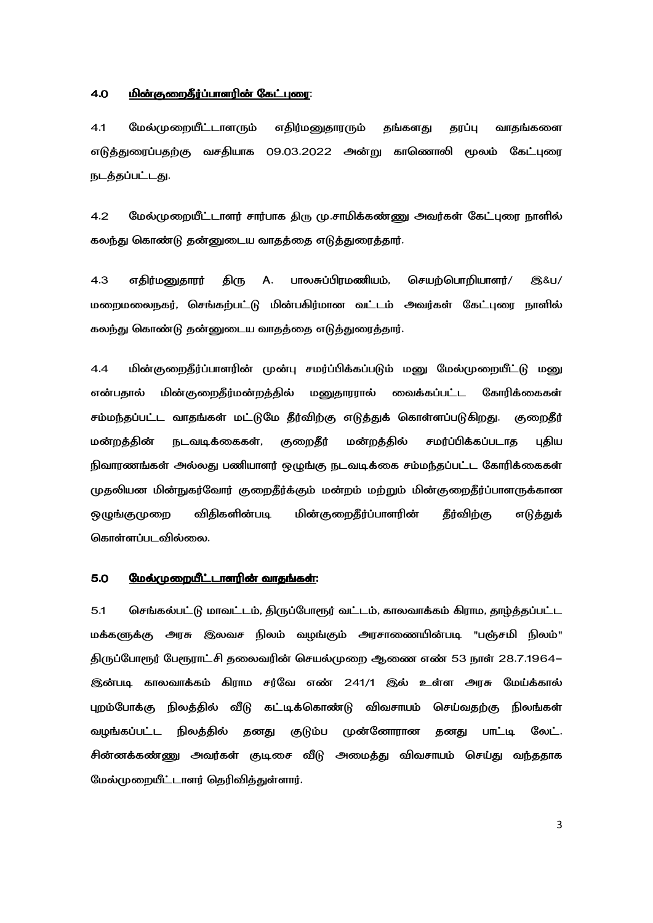#### <u>மின்குறைதீர்ப்பாளரின் கேட்புரை:</u> 4.0

தங்களது  $4.1$ மேல்முறையீட்டாளாம் எதிர்ம<u>னு</u>தாரரும் காப்ப வாகங்களை எடுத்துரைப்பதற்கு வசதியாக 09.03.2022 அன்று காணொலி மூலம் கேட்புரை நடத்தப்பட்டது.

 $4.2$ மேல்முறையீட்டாளர் சார்பாக திரு மு.சாமிக்கண்ணு அவர்கள் கேட்புரை நாளில் கலந்து கொண்டு தன்னுடைய வாதத்தை எடுத்துரைத்தார்.

 $4.3$ எதிர்மனுதாரர் திரு A. பாலசுப்பிரமணியம், செயற்பொறியாளர்/ **8&u/** மறைமலைநகர், செங்கற்பட்டு மின்பகிர்மான வட்டம் அவர்கள் கேட்புரை நாளில் கலந்து கொண்டு தன்னுடைய வாதத்தை எடுத்துரைத்தார்.

 $4.4$ மின்குறைதீர்ப்பாளரின் முன்பு சமர்ப்பிக்கப்படும் மனு மேல்முறையீட்டு மனு மின்குறைதீர்மன்றத்தில் மனுதாரரால் வைக்கப்பட்ட கோரிக்கைகள் என்பகால் சம்மந்தப்பட்ட வாதங்கள் மட்டுமே தீர்விற்கு எடுத்துக் கொள்ளப்படுகிறது. குறைதீர் குறைதீர் நடவடிக்கைகள், மன்றத்தில் சமர்ப்பிக்கப்படாத மன்றத்தின் புதிய நிவாரணங்கள் அல்லது பணியாளர் ஒழுங்கு நடவடிக்கை சம்மந்தப்பட்ட கோரிக்கைகள் முதலியன மின்நுகர்வோர் குறைதீர்க்கும் மன்றம் மற்றும் மின்குறைதீர்ப்பாளருக்கான ஒழுங்குமுறை விகிகளின்படி மின்குறைதீர்ப்பாளரின் **கீர்வி**ற்கு எடுத்துக் கொள்ளப்படவில்லை.

#### $5.0$ மேல்முறையீட்டாளரின் வாதங்கள்:

 $5.1$ செங்கல்பட்டு மாவட்டம், திருப்போரூர் வட்டம், காலவாக்கம் கிராம, தாழ்த்தப்பட்ட மக்களுக்கு அரசு இலவச நிலம் வழங்கும் அரசாணையின்படி "பஞ்சமி நிலம்" திருப்போரூர் பேரூராட்சி தலைவரின் செயல்முறை ஆணை எண் 53 நாள் 28.7.1964– இன்படி காலவாக்கம் கிராம சர்வே எண் 241/1 இல் உள்ள அரசு மேய்க்கால் புறம்போக்கு நிலக்கில் வீடு கட்டிக்கொண்டு விவசாயம் செய்வகற்கு நிலங்கள் வழங்கப்பட்ட நிலத்தில் தனது குடும்ப முன்னோரான தனது பாட்டி லேட். சின்னக்கண்ணு அவர்கள் குடிசை வீடு அமைத்து விவசாயம் செய்து வந்ததாக மேல்முறையீட்டாளர் தெரிவித்துள்ளார்.

 $\overline{3}$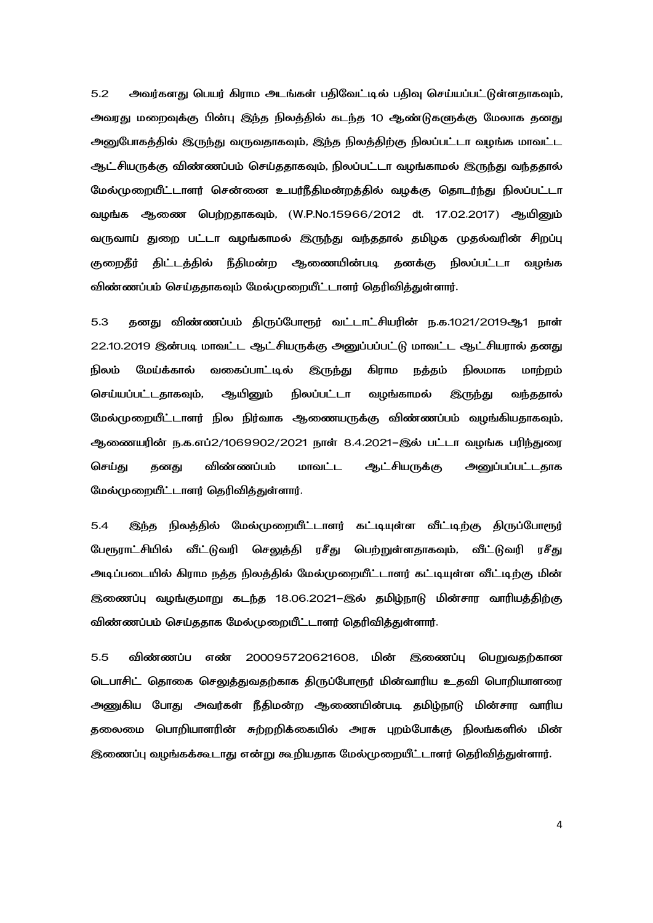5.2 அவர்களது பெயர் கிராம அடங்கள் பதிவேட்டில் பதிவு செய்யப்பட்டுள்ளதாகவும், அவரது மறைவுக்கு பின்பு இந்த நிலத்தில் கடந்த 10 ஆண்டுகளுக்கு மேலாக தனது அனுபோகத்தில் இருந்து வருவதாகவும், இந்த நிலத்திற்கு நிலப்பட்டா வழங்க மாவட்ட ஆட்சியருக்கு விண்ணப்பம் செய்ததாகவும், நிலப்பட்டா வழங்காமல் இருந்து வந்ததால் மேல்முறையீட்டாளர் சென்னை உயர்நீதிமன்றத்தில் வழக்கு தொடர்ந்து நிலப்பட்டா வழங்க ஆணை பெற்றதாகவும், (W.P.No.15966/2012 dt. 17.02.2017) ஆயினும் வருவாய் துறை பட்டா வழங்காமல் இருந்து வந்ததால் தமிழக முதல்வரின் சிறப்பு குறைதீர் திட்டத்தில் நீதிமன்ற ஆணையின்படி தனக்கு நிலப்பட்டா வழங்க விண்ணப்பம் செய்ததாகவும் மேல்முறையீட்டாளர் தெரிவித்துள்ளார்.

5.3 தனது விண்ணப்பம் திருப்போரூர் வட்டாட்சியரின் ந.க.1021/2019ஆ1 நாள் 22.10.2019 இன்படி மாவட்ட ஆட்சியருக்கு அனுப்பப்பட்டு மாவட்ட ஆட்சியரால் தனது நிலம் மேய்க்கால் வகைப்பாட்டில் இருந்து கிராம நத்தம் நிலமாக மாற்றம் செய்யப்பட்டதாகவும், ஆயினும் நிலப்பட்டா வழங்காமல் இருந்து வந்ததால் மேல்முறையீட்டாளர் நில நிர்வாக ஆணையருக்கு விண்ணப்பம் வழங்கியதாகவும், ஆணையரின் ந.க.எப்2/1069902/2021 நாள் 8.4.2021–இல் பட்டா வழங்க பரிந்துரை செய்து தனது விண்ணப்பம் மாவட்ட ஆட்சியருக்கு அனுப்பப்பட்டதாக மேல்முறையீட்டாளர் தெரிவித்துள்ளார்.

5.4 இந்த நிலத்தில் மேல்முறையீட்டாளர் கட்டியுள்ள வீட்டிற்கு திருப்போரூர் பேரூராட்சியில் வீட்டுவரி செலுக்கி ரசீது பெற்றுள்ளதாகவும், வீட்டுவரி ரசீது அடிப்படையில் கிராம நத்த நிலத்தில் மேல்முறையீட்டாளர் கட்டியுள்ள வீட்டிற்கு மின் இணைப்பு வழங்குமாறு கடந்த 18.06.2021–இல் தமிழ்நாடு மின்சார வாரியத்திற்கு விண்ணப்பம் செய்ததாக மேல்முறையீட்டாளர் தெரிவித்துள்ளார்.

5.5 விண்ணப்ப எண் 200095720621608, மின் இணைப்பு பெறுவதற்கான டெபாசிட் தொகை செலுத்துவதற்காக திருப்போரூர் மின்வாரிய உதவி பொறியாளரை அணுகிய போது அவர்கள் நீதிமன்ற ஆணையின்படி தமிழ்நாடு மின்சார வாரிய தலைமை பொறியாளரின் சுற்றறிக்கையில் அரசு புறம்போக்கு நிலங்களில் மின் இணைப்பு வழங்கக்கூடாது என்று கூறியதாக மேல்முறையீட்டாளர் தெரிவித்துள்ளார்.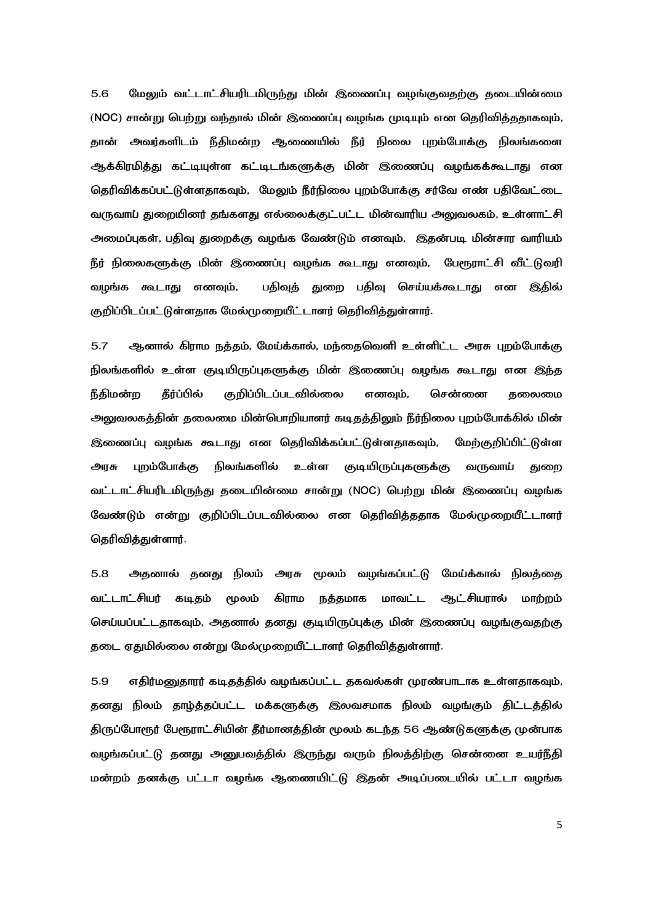மேலும் வட்டாட்சியரிடமிருந்து மின் இணைப்பு வழங்குவதற்கு தடையின்மை  $5.6$ (NOC) சான்று பெற்று வந்தால் மின் இணைப்பு வழங்க முடியும் என தெரிவித்ததாகவும், தான் அவர்களிடம் நீதிமன்ற ஆணையில் நீர் நிலை புறம்போக்கு நிலங்களை ஆக்கிரமித்து கட்டியுள்ள கட்டிடங்களுக்கு மின் இணைப்பு வழங்கக்கூடாது என தெரிவிக்கப்பட்டுள்ளதாகவும், மேலும் நீர்நிலை புறம்போக்கு சர்வே எண் பகிவேட்டை வருவாய் துறையினர் தங்களது எல்லைக்குட்பட்ட மின்வாரிய அலுவலகம், உள்ளாட்சி அமைப்புகள், பதிவு துறைக்கு வழங்க வேண்டும் எனவும், இதன்படி மின்சார வாரியம் நீர் நிலைகளுக்கு மின் இணைப்பு வழங்க கூடாது எனவும், பேரூராட்சி வீட்டுவரி வழங்க கூடாது எனவும், பதிவுத் துறை பதிவு செய்யக்கூடாது என இதில் குறிப்பிடப்பட்டுள்ளதாக மேல்முறையீட்டாளர் தெரிவித்துள்ளார்.

 $5.7$ ஆனால் கிராம நத்தம், மேய்க்கால், மந்தைவெளி உள்ளிட்ட அரசு புறம்போக்கு நிலங்களில் உள்ள குடியிருப்புகளுக்கு மின் இணைப்பு வழங்க கூடாது என இந்த **நீகிமன்**ற கீர்ப்பில் குறிப்பிடப்படவில்லை எனவம். சென்னை கலைமை அலுவலகத்தின் தலைமை மின்பொறியாளர் கடிதத்திலும் நீர்நிலை புறம்போக்கில் மின் இணைப்பு வழங்க கூடாது என தெரிவிக்கப்பட்டுள்ளதாகவும், மேற்குறிப்பிட்டுள்ள புறம்போக்கு நிலங்களில் உள்ள குடியிருப்புகளுக்கு வருவாய் அரசு குண வட்டாட்சியரிடமிருந்து தடையின்மை சான்று (NOC) பெற்று மின் இணைப்பு வழங்க வேண்டும் என்று குறிப்பிடப்படவில்லை என தெரிவித்ததாக மேல்முறையீட்டாளர் தெரிவித்துள்ளார்.

5.8 அதனால் தனது நிலம் அரசு மூலம் வழங்கப்பட்டு மேய்க்கால் நிலத்தை வட்டாட்சியர் கடிதம் கிாாம நத்தமாக மாவட்ட ஆட்சியரால் மூலம் மாற்றம் செய்யப்பட்டதாகவும், அதனால் தனது குடியிருப்புக்கு மின் இணைப்பு வழங்குவதற்கு தடை ஏதுமில்லை என்று மேல்முறையீட்டாளர் தெரிவித்துள்ளார்.

5.9 எதிர்மனுதாரர் கடிதத்தில் வழங்கப்பட்ட தகவல்கள் முரண்பாடாக உள்ளதாகவும், தனது நிலம் தாழ்த்தப்பட்ட மக்களுக்கு இலவசமாக நிலம் வழங்கும் திட்டத்தில் திருப்போரூர் பேரூராட்சியின் தீர்மானத்தின் மூலம் கடந்த 56 ஆண்டுகளுக்கு முன்பாக வழங்கப்பட்டு தனது அனுபவத்தில் இருந்து வரும் நிலத்திற்கு சென்னை உயர்நீதி மன்றம் தனக்கு பட்டா வழங்க ஆணையிட்டு இதன் அடிப்படையில் பட்டா வழங்க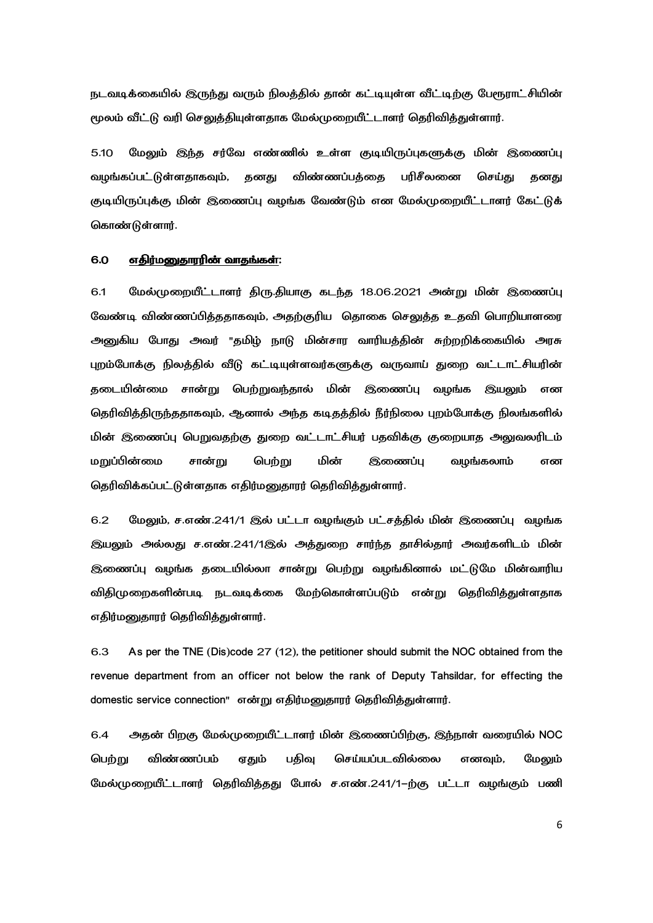நடவடிக்கையில் இருந்து வரும் நிலத்தில் தான் கட்டியுள்ள வீட்டிற்கு பேரூராட்சியின் மூலம் வீட்டு வரி செலுத்தியுள்ளதாக மேல்முறையீட்டாளர் தெரிவித்துள்ளார்.

5.10 மேலும் இந்த சர்வே எண்ணில் உள்ள குடியிருப்புகளுக்கு மின் இணைப்பு வழங்கப்பட்டுள்ளதாகவும், தனது விண்ணப்பத்தை பரிசீலனை செய்து தனது குடியிருப்புக்கு மின் இணைப்பு வழங்க வேண்டும் என மேல்முறையீட்டாளர் கேட்டுக் கொண்டுள்ளார்.

#### 6.0 எதிர்மனுதாரரின் வாதங்கள்:

6.1 மேல்முறையீட்டாளர் திரு.தியாகு கடந்த 18.06.2021 அன்று மின் இணைப்பு வேண்டி விண்ணப்பித்ததாகவும், அதற்குரிய தொகை செலுத்த உதவி பொறியாளரை அனுகிய போது அவர் "தமிழ் நாடு மின்சார வாரியத்தின் சுற்றறிக்கையில் அரசு புறம்போக்கு நிலத்தில் வீடு கட்டியுள்ளவர்களுக்கு வருவாய் துறை வட்டாட்சியரின் தடையின்மை சான்று பெற்றுவந்தால் மின் இணைப்பு வழங்க இயலும் என தெரிவித்திருந்ததாகவும், ஆனால் அந்த கடிதத்தில் நீர்நிலை புறம்போக்கு நிலங்களில் மின் இணைப்பு பெறுவதற்கு துறை வட்டாட்சியர் பதவிக்கு குறையாத அலுவலரிடம் மறுப்பின்மை சான்று பெற்று மின் இணைப்பு வழங்கலாம் என தெரிவிக்கப்பட்டுள்ளதாக எதிர்மனுதாரர் தெரிவித்துள்ளார்.

6.2 மேலும், ச.எண்.241/1 இல் பட்டா வழங்கும் பட்சத்தில் மின் இணைப்பு வழங்க இயலும் அல்லது ச.எண்.241/1இல் அத்துறை சார்ந்த தாசில்தார் அவர்களிடம் மின் இணைப்பு வழங்க தடையில்லா சான்று பெற்று வழங்கினால் மட்டுமே மின்வாரிய விதிமுறைகளின்படி நடவடிக்கை மேற்கொள்ளப்படும் என்று தெரிவித்துள்ளதாக எதிர்மனுதாரர் தெரிவித்துள்ளார்.

6.3 As per the TNE (Dis)code 27 (12), the petitioner should submit the NOC obtained from the revenue department from an officer not below the rank of Deputy Tahsildar, for effecting the domestic service connection" என்று எதிர்மனுதாரர் தெரிவித்துள்ளார்.

6.4 அதன் பிறகு மேல்முறையீட்டாளர் மின் இணைப்பிற்கு, இந்நாள் வரையில் NOC பெற்று விண்ணப்பம் ஏதும் பதிவு செய்யப்படவில்லை எனவும், மேலும் மேல்முறையீட்டாளர் தெரிவித்தது போல் ச.எண்.241/1-ற்கு பட்டா வழங்கும் பணி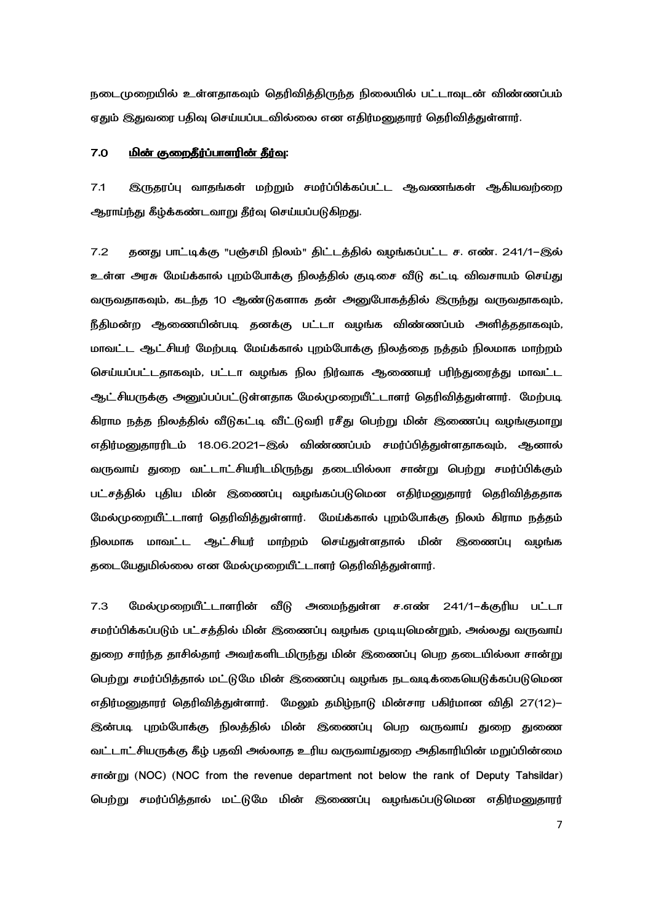நடைமுறையில் உள்ளதாகவும் தெரிவித்திருந்த நிலையில் பட்டாவுடன் விண்ணப்பம் ஏதும் இதுவரை பதிவு செய்யப்படவில்லை என எதிர்மனுதாரர் தெரிவித்துள்ளார்.

#### 7.0 <u>மின் குறைதீர்ப்பாளரின் தீர்வு</u>:

7.1 இருகரப்பு வாகங்கள் மற்றும் சமர்ப்பிக்கப்பட்ட ஆவணங்கள் ஆகியவற்றை ஆராய்ந்து கீழ்க்கண்டவாறு தீர்வு செய்யப்படுகிறது.

7.2 தனது பாட்டிக்கு "பஞ்சமி நிலம்" திட்டத்தில் வழங்கப்பட்ட ச. எண். 241/1-இல் உள்ள அரசு மேய்க்கால் புறம்போக்கு நிலத்தில் குடிசை வீடு கட்டி விவசாயம் செய்து வருவதாகவும், கடந்த 10 ஆண்டுகளாக தன் அனுபோகத்தில் இருந்து வருவதாகவும், நீதிமன்ற ஆணையின்படி தனக்கு பட்டா வழங்க விண்ணப்பம் அளித்ததாகவும், மாவட்ட ஆட்சியர் மேற்படி மேய்க்கால் புறம்போக்கு நிலத்தை நத்தம் நிலமாக மாற்றம் செய்யப்பட்டதாகவும், பட்டா வழங்க நில நிர்வாக ஆணையர் பரிந்துரைத்து மாவட்ட ஆட்சியருக்கு அனுப்பப்பட்டுள்ளதாக மேல்முறையீட்டாளர் தெரிவித்துள்ளார். மேற்படி கிராம நத்த நிலத்தில் வீடுகட்டி வீட்டுவரி ரசீது பெற்று மின் இணைப்பு வழங்குமாறு எதிர்மனுதாரரிடம் 18.06.2021–இல் விண்ணப்பம் சமர்ப்பித்துள்ளதாகவும், ஆனால் வருவாய் துறை வட்டாட்சியரிடமிருந்து தடையில்லா சான்று பெற்று சமர்ப்பிக்கும் பட்சத்தில் புதிய மின் இணைப்பு வழங்கப்படுமென எதிர்மனுதாரர் தெரிவித்ததாக மேல்முறையீட்டாளர் தெரிவித்துள்ளார். மேய்க்கால் புறம்போக்கு நிலம் கிராம நத்தம் நிலமாக மாவட்ட ஆட்சியர் மாற்றம் செய்துள்ளதால் மின் இணைப்பு வழங்க தடையேதுமில்லை என மேல்முறையீட்டாளர் தெரிவித்துள்ளார்.

7.3 மேல்முறையீட்டாளரின் வீடு அமைந்துள்ள ச.எண் 241/1-க்குரிய பட்டா சமர்ப்பிக்கப்படும் பட்சத்தில் மின் இணைப்பு வழங்க முடியுமென்றும், அல்லது வருவாய் துறை சார்ந்த தாசில்தார் அவர்களிடமிருந்து மின் இணைப்பு பெற தடையில்லா சான்று பெற்று சமர்ப்பித்தால் மட்டுமே மின் இணைப்பு வழங்க நடவடிக்கையெடுக்கப்படுமென எதிர்மனுதாரர் தெரிவித்துள்ளார். மேலும் தமிழ்நாடு மின்சார பகிர்மான விதி 27(12)– இன்படி புறம்போக்கு நிலத்தில் மின் இணைப்பு பெற வருவாய் துறை துணை வட்டாட்சியருக்கு கீழ் பதவி அல்லாத உரிய வருவாய்துறை அதிகாரியின் மறுப்பின்மை சான்று (NOC) (NOC from the revenue department not below the rank of Deputy Tahsildar) பெற்று சமர்ப்பித்தால் மட்டுமே மின் இணைப்பு வழங்கப்படுமென எதிர்மனுதாரர்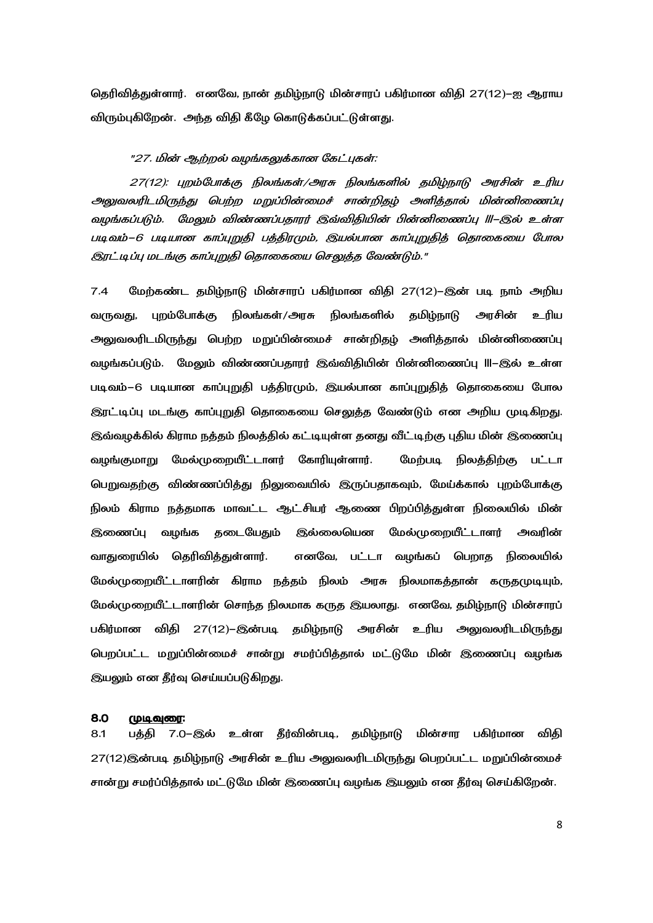தெரிவித்துள்ளார். எனவே, நான் தமிழ்நாடு மின்சாரப் பகிர்மான விதி 27(12)–ஐ ஆராய விரும்புகிறேன். அந்த விதி கீழே கொடுக்கப்பட்டுள்ளது.

### "27. மின் ஆற்றல் வழங்கலுக்கான கேட்புகள்:

27(12): புறம்போக்கு நிலங்கள்/அரசு நிலங்களில் தமிழ்நாடு அரசின் உரிய அலுவலரிடமிருந்து பெற்ற மறுப்பின்மைச் சான்றிதழ் அளித்தால் மின்னிணைப்பு வழங்கப்படும். மேலும் விண்ணப்பதாரர் இவ்விதியின் பின்னிணைப்பு III-இல் உள்ள படிவம்–6 படியான காப்புறுதி பத்திரமும், இயல்பான காப்புறுதித் தொகையை போல இரட்டிப்பு மடங்கு காப்புறுதி தொகையை செலுத்த வேண்டும்."

 $7.4$ மேற்கண்ட தமிழ்நாடு மின்சாரப் பகிர்மான விதி 27(12)–இன் படி நாம் அறிய புறம்போக்கு நிலங்கள்/அரசு நிலங்களில் தமிழ்நாடு வருவது, அரசின் உரிய அலுவலரிடமிருந்து பெற்ற மறுப்பின்மைச் சான்றிதழ் அளித்தால் மின்னிணைப்பு வழங்கப்படும். மேலும் விண்ணப்பதாரர் இவ்விதியின் பின்னிணைப்பு III–இல் உள்ள படிவம்–6 படியான காப்புறுதி பத்திரமும், இயல்பான காப்புறுதித் தொகையை போல இரட்டிப்பு மடங்கு காப்புறுதி தொகையை செலுத்த வேண்டும் என அறிய முடிகிறது. இவ்வழக்கில் கிராம நத்தம் நிலத்தில் கட்டியுள்ள தனது வீட்டிற்கு புதிய மின் இணைப்பு வழங்குமாறு மேல்முறையீட்டாளர் கோரியுள்ளார். மேற்படி நிலத்திற்கு பட்டா பெறுவதற்கு விண்ணப்பித்து நிலுவையில் இருப்பதாகவும், மேய்க்கால் புறம்போக்கு நிலம் கிராம நத்தமாக மாவட்ட ஆட்சியர் ஆணை பிறப்பித்துள்ள நிலையில் மின் இணைப்பு வழங்க தடையேதும் இல்லையென மேல்முறையீட்டாளர் அவரின் வாதுரையில் தெரிவித்துள்ளார். எனவே, பட்டா வழங்கப் பெறாத நிலையில் மேல்முறையீட்டாளரின் கிராம நத்தம் நிலம் அரசு நிலமாகத்தான் கருதமுடியும், மேல்முறையீட்டாளரின் சொந்த நிலமாக கருத இயலாது. எனவே, தமிழ்நாடு மின்சாரப் பகிர்மான விதி 27(12)–இன்படி தமிழ்நாடு அரசின் உரிய அலுவலரிடமிருந்து பெறப்பட்ட மறுப்பின்மைச் சான்று சமர்ப்பித்தால் மட்டுமே மின் இணைப்பு வழங்க இயலும் என தீர்வு செய்யப்படுகிறது.

#### 8.0 <u> முடிவுரை:</u>

பத்தி 7.0–இல் உள்ள தீர்வின்படி, தமிழ்நாடு மின்சார பகிர்மான விதி  $8.1$ 27(12)இன்படி தமிழ்நாடு அரசின் உரிய அலுவலரிடமிருந்து பெறப்பட்ட மறுப்பின்மைச் சான்று சமர்ப்பித்தால் மட்டுமே மின் இணைப்பு வழங்க இயலும் என தீர்வு செய்கிறேன்.